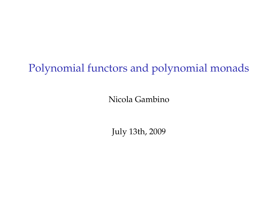# Polynomial functors and polynomial monads

Nicola Gambino

July 13th, 2009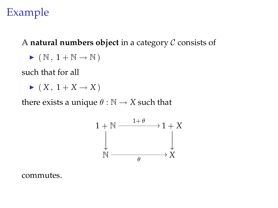## Example

#### A **natural numbers object** in a category C consists of

$$
\blacktriangleright \ (\,\mathbb{N}\,,\ 1 + \mathbb{N} \to \mathbb{N}\,)
$$

such that for all

 $\blacktriangleright$   $(X, 1 + X \rightarrow X)$ 

there exists a unique  $\theta : \mathbb{N} \to X$  such that



commutes.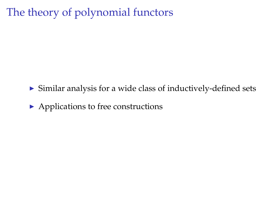## The theory of polynomial functors

- $\triangleright$  Similar analysis for a wide class of inductively-defined sets
- $\blacktriangleright$  Applications to free constructions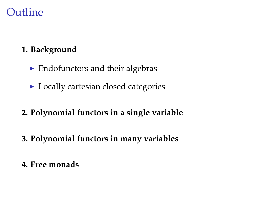### **Outline**

#### **1. Background**

- $\blacktriangleright$  Endofunctors and their algebras
- $\blacktriangleright$  Locally cartesian closed categories
- **2. Polynomial functors in a single variable**
- **3. Polynomial functors in many variables**
- **4. Free monads**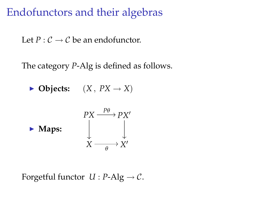### Endofunctors and their algebras

Let  $P: \mathcal{C} \to \mathcal{C}$  be an endofunctor.

The category *P*-Alg is defined as follows.

 $\blacktriangleright$  **Objects:**  $(X, PX \rightarrow X)$ 



Forgetful functor  $U : P\text{-}Alg \to C$ .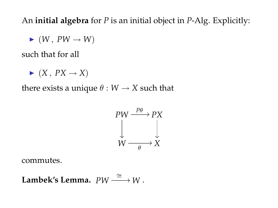An **initial algebra** for *P* is an initial object in *P*-Alg. Explicitly:

 $\blacktriangleright$   $(W, PW \rightarrow W)$ 

such that for all

 $\blacktriangleright$   $(X, PX \rightarrow X)$ 

there exists a unique  $\theta$  :  $W \rightarrow X$  such that

$$
PW \xrightarrow{P\theta} PX
$$
  
\n
$$
\downarrow \qquad \qquad \downarrow
$$
  
\n
$$
W \xrightarrow{\qquad \theta} X
$$

commutes.

Lambek's Lemma. 
$$
PW \xrightarrow{\cong} W
$$
.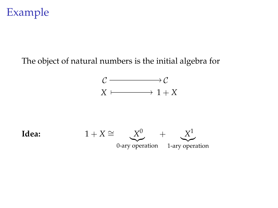## Example

#### The object of natural numbers is the initial algebra for

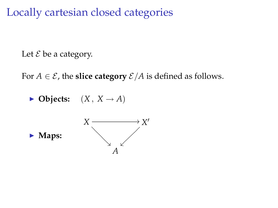Locally cartesian closed categories

Let  $\mathcal E$  be a category.

For  $A \in \mathcal{E}$ , the **slice category**  $\mathcal{E}/A$  is defined as follows.

 $\blacktriangleright$  **Objects:**  $(X, X \rightarrow A)$ 

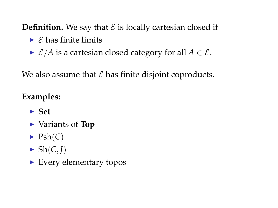**Definition.** We say that  $\mathcal E$  is locally cartesian closed if

- $\triangleright$   $\epsilon$  has finite limits
- $\triangleright$  *E*/*A* is a cartesian closed category for all  $A \in \mathcal{E}$ .

We also assume that  $\mathcal E$  has finite disjoint coproducts.

#### **Examples:**

- ► Set
- ► Variants of **Top**
- $\blacktriangleright$  Psh(*C*)
- $\blacktriangleright$  Sh(*C*, *J*)
- $\blacktriangleright$  Every elementary topos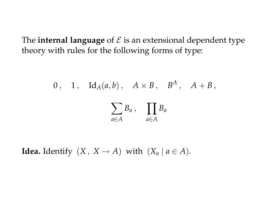The **internal language** of  $\mathcal{E}$  is an extensional dependent type theory with rules for the following forms of type:

0, 1, 
$$
Id_A(a, b)
$$
,  $A \times B$ ,  $B^A$ ,  $A + B$ ,  

$$
\sum_{a \in A} B_a
$$
,  $\prod_{a \in A} B_a$ 

**Idea.** Identify  $(X, X \rightarrow A)$  with  $(X_a | a \in A)$ .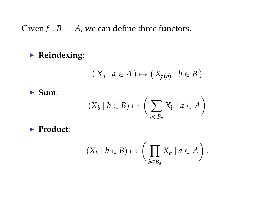Given  $f : B \to A$ , we can define three functors.

**Example 2 Reindexing:** 

$$
(X_a \mid a \in A) \mapsto (X_{f(b)} \mid b \in B)
$$

 $\blacktriangleright$  Sum:

$$
(X_b \mid b \in B) \mapsto \left(\sum_{b \in B_a} X_b \mid a \in A\right)
$$

▶ **Product:** 

$$
(X_b \mid b \in B) \mapsto \left(\prod_{b \in B_a} X_b \mid a \in A\right).
$$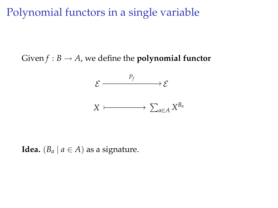Polynomial functors in a single variable

Given  $f : B \to A$ , we define the **polynomial functor** 



**Idea.**  $(B_a \mid a \in A)$  as a signature.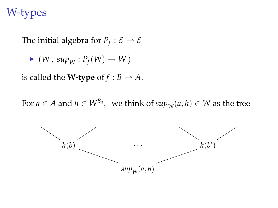### W-types

The initial algebra for  $P_f : \mathcal{E} \to \mathcal{E}$ 

$$
\blacktriangleright (W, \, \textit{sup}_W : P_f(W) \to W)
$$

is called the **W-type** of  $f : B \to A$ .

For  $a \in A$  and  $h \in W^{B_a}$ , we think of  $sup_W(a, h) \in W$  as the tree

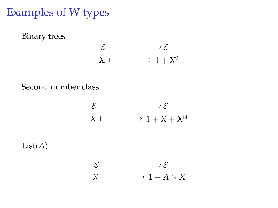### Examples of W-types



Second number class



 $List(A)$ 

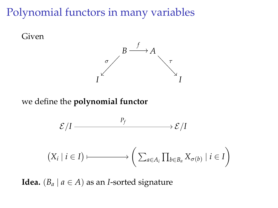Polynomial functors in many variables



**Idea.**  $(B_a \mid a \in A)$  as an *I*-sorted signature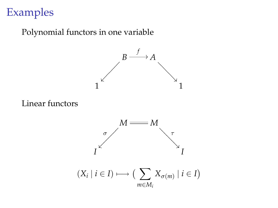## Examples

#### Polynomial functors in one variable



Linear functors



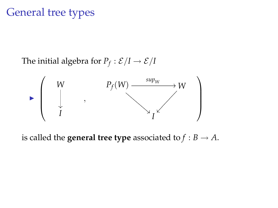### General tree types

The initial algebra for  $P_f : \mathcal{E}/I \rightarrow \mathcal{E}/I$ 



is called the **general tree type** associated to  $f : B \to A$ .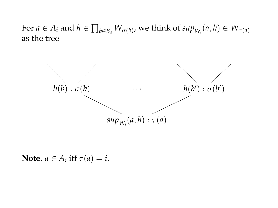$\text{For } a \in A_i \text{ and } h \in \prod_{b \in B_a} W_{\sigma(b)}$ , we think of  $sup_{W_i}(a, h) \in W_{\tau(a)}$ as the tree



**Note.**  $a \in A_i$  iff  $\tau(a) = i$ .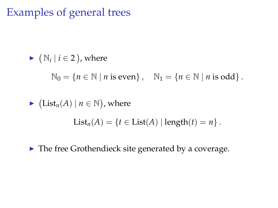## Examples of general trees

\n- \n
$$
\mathbb{N}_i \mid i \in 2
$$
, where\n  $\mathbb{N}_0 = \{ n \in \mathbb{N} \mid n \text{ is even} \}, \quad \mathbb{N}_1 = \{ n \in \mathbb{N} \mid n \text{ is odd} \}.$ \n
\n- \n $\mathbb{N}_1 = \{ n \in \mathbb{N} \mid n \text{ is odd} \}.$ \n
\n- \n $\mathbb{N}_2 = \{ n \in \mathbb{N} \mid n \in \mathbb{N} \}.$ \n
\n- \n $\mathbb{N}_3 = \{ n \in \mathbb{N} \mid n \text{ is odd} \}.$ \n
\n

 $\blacktriangleright$  The free Grothendieck site generated by a coverage.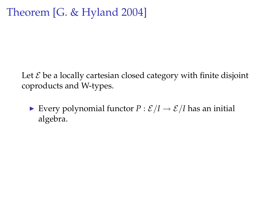### Theorem [G. & Hyland 2004]

Let  $\mathcal E$  be a locally cartesian closed category with finite disjoint coproducts and W-types.

**Every polynomial functor**  $P : \mathcal{E}/I \rightarrow \mathcal{E}/I$  **has an initial** algebra.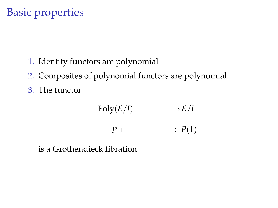## Basic properties

- 1. Identity functors are polynomial
- 2. Composites of polynomial functors are polynomial
- 3. The functor

$$
\text{Poly}(\mathcal{E}/I) \longrightarrow \mathcal{E}/I
$$
\n
$$
P \longmapsto P(1)
$$

is a Grothendieck fibration.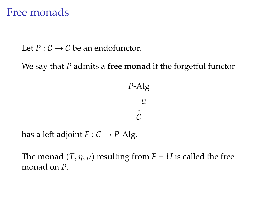### Free monads

Let  $P: \mathcal{C} \to \mathcal{C}$  be an endofunctor.

We say that *P* admits a **free monad** if the forgetful functor

*P*-Alg *U*  $\overset{\downarrow}{\mathcal{C}}$ 

has a left adjoint  $F : C \rightarrow P$ -Alg.

The monad  $(T, \eta, \mu)$  resulting from  $F \dashv U$  is called the free monad on *P*.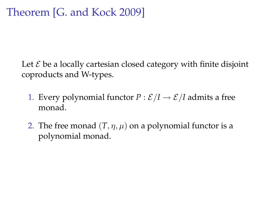Let  $\mathcal E$  be a locally cartesian closed category with finite disjoint coproducts and W-types.

- 1. Every polynomial functor  $P : \mathcal{E}/I \rightarrow \mathcal{E}/I$  admits a free monad.
- 2. The free monad  $(T, \eta, \mu)$  on a polynomial functor is a polynomial monad.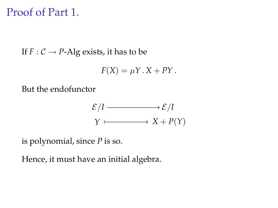### Proof of Part 1.

If  $F: \mathcal{C} \rightarrow P$ -Alg exists, it has to be

$$
F(X) = \mu Y \cdot X + PY.
$$

But the endofunctor

$$
\mathcal{E}/I \longrightarrow \mathcal{E}/I
$$
  
 
$$
\gamma \longmapsto X + P(Y)
$$

is polynomial, since *P* is so.

Hence, it must have an initial algebra.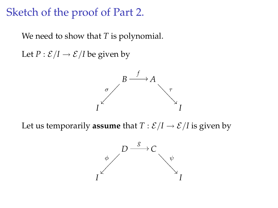### Sketch of the proof of Part 2.

We need to show that *T* is polynomial.

Let  $P : \mathcal{E}/I \rightarrow \mathcal{E}/I$  be given by



Let us temporarily **assume** that  $T : \mathcal{E}/I \rightarrow \mathcal{E}/I$  is given by

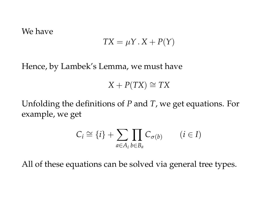#### We have

$$
TX = \mu Y \cdot X + P(Y)
$$

Hence, by Lambek's Lemma, we must have

$$
X + P(TX) \cong TX
$$

Unfolding the definitions of *P* and *T*, we get equations. For example, we get

$$
C_i \cong \{i\} + \sum_{a \in A_i} \prod_{b \in B_a} C_{\sigma(b)} \qquad (i \in I)
$$

All of these equations can be solved via general tree types.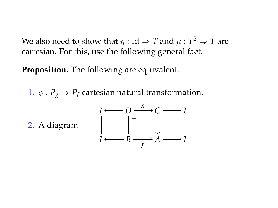We also need to show that  $\eta : \text{Id} \Rightarrow T$  and  $\mu : T^2 \Rightarrow T$  are cartesian. For this, use the following general fact.

**Proposition.** The following are equivalent.

1.  $\phi$  :  $P_g \Rightarrow P_f$  cartesian natural transformation.

2. A diagram

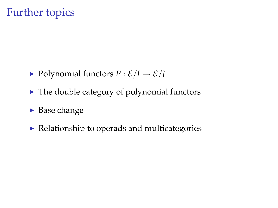### Further topics

- $\blacktriangleright$  Polynomial functors  $P : \mathcal{E}/I \rightarrow \mathcal{E}/I$
- $\blacktriangleright$  The double category of polynomial functors
- $\blacktriangleright$  Base change
- $\blacktriangleright$  Relationship to operads and multicategories